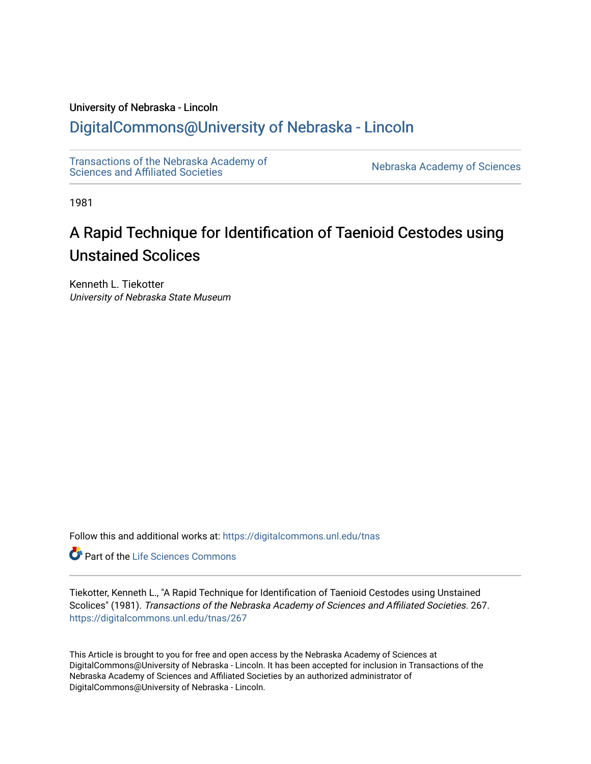### University of Nebraska - Lincoln

## [DigitalCommons@University of Nebraska - Lincoln](https://digitalcommons.unl.edu/)

[Transactions of the Nebraska Academy of](https://digitalcommons.unl.edu/tnas)  Transactions of the Nebraska Academy of Sciences<br>Sciences and Affiliated Societies

1981

# A Rapid Technique for Identification of Taenioid Cestodes using Unstained Scolices

Kenneth L. Tiekotter University of Nebraska State Museum

Follow this and additional works at: [https://digitalcommons.unl.edu/tnas](https://digitalcommons.unl.edu/tnas?utm_source=digitalcommons.unl.edu%2Ftnas%2F267&utm_medium=PDF&utm_campaign=PDFCoverPages) 

**Part of the Life Sciences Commons** 

Tiekotter, Kenneth L., "A Rapid Technique for Identification of Taenioid Cestodes using Unstained Scolices" (1981). Transactions of the Nebraska Academy of Sciences and Affiliated Societies. 267. [https://digitalcommons.unl.edu/tnas/267](https://digitalcommons.unl.edu/tnas/267?utm_source=digitalcommons.unl.edu%2Ftnas%2F267&utm_medium=PDF&utm_campaign=PDFCoverPages) 

This Article is brought to you for free and open access by the Nebraska Academy of Sciences at DigitalCommons@University of Nebraska - Lincoln. It has been accepted for inclusion in Transactions of the Nebraska Academy of Sciences and Affiliated Societies by an authorized administrator of DigitalCommons@University of Nebraska - Lincoln.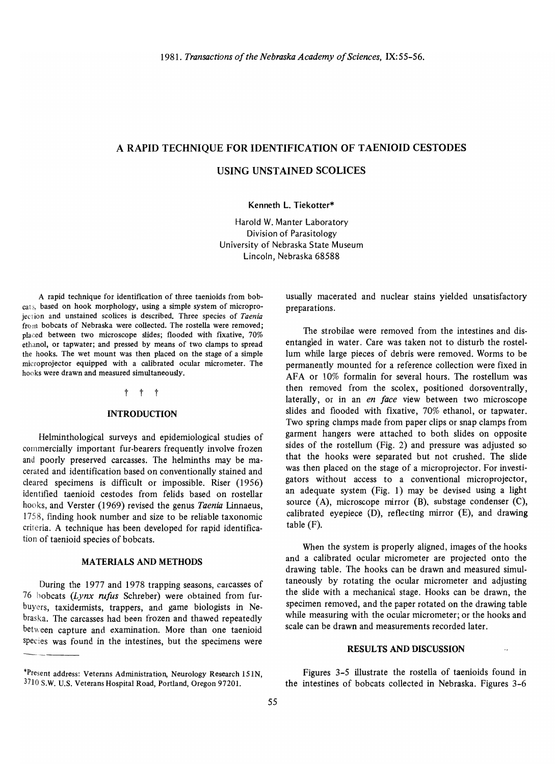#### A RAPID TECHNIQUE FOR IDENTIFICATION OF TAENIOID CESTODES

#### USING UNSTAINED SCOLICES

Kenneth L. Tiekotter\*

Harold W. Manter Laboratory Division of Parasitology University of Nebraska State Museum Lincoln, Nebraska 68588

A rapid technique for identification of three taenioids from bobcalS, based on hook morphology, using a simple system of microprojection and unstained scolices is described. Three species of *Taenia* from bobcats of Nebraska were collected. The rostella were removed; placed between two microscope slides; flooded with fixative, 70% ethanol, or tapwater; and pressed by means of two clamps to spread the hooks. The wet mount was then placed on the stage of a simple micro projector equipped with a calibrated ocular micrometer. The hooks were drawn and measured simultaneously.

#### t t t

#### INTRODUCTION

Helminthological surveys and epidemiological studies of commercially important fur-bearers frequently involve frozen and poorly preserved carcasses. The helminths may be macerated and identification based on conventionally stained and cleared specimens is difficult or impossible. Riser (1956) identified taenioid cestodes from felids based on rostellar hooks, and Verster (1969) revised the genus *Taenia* linnaeus, 1758, finding hook number and size to be reliable taxonomic criteria. A technique has been developed for rapid identification of taenioid species of bobcats.

#### MATERIALS AND METHODS

During the 1977 and 1978 trapping seasons, carcasses of 76 bobcats *(Lynx rufus* Schreber) were obtained from furbuyers, taxidermists, trappers, and game biologists in Nebraska. The carcasses had been frozen and thawed repeatedly between capture and examination. More than one taenioid species was found in the intestines, but the specimens were usually macerated and nuclear stains yielded unsatisfactory preparations.

The strobilae were removed from the intestines and disentangled in water. Care was taken not to disturb the rostellum while large pieces of debris were removed. Worms to be permanently mounted for a reference collection were fixed in AFA or 10% formalin for several hours. The rostellum was then removed from the scolex, positioned dorsoventrally, laterally, or in an *en face* view between two microscope slides and flooded with fixative, 70% ethanol, or tapwater. Two spring clamps made from paper clips or snap clamps from garment hangers were attached to both slides on opposite sides of the rostellum (Fig. 2) and pressure was adjusted so that the hooks were separated but not crushed. The slide was then placed on the stage of a microprojector. For investigators without access to a conventional microprojector, an adequate system (Fig. 1) may be devised using a light source (A), microscope mirror (B), substage condenser (C), calibrated eyepiece (D), reflecting mirror (E), and drawing table (F).

When the system is properly aligned, images of the hooks and a calibrated ocular micrometer are projected onto the drawing table. The hooks can be drawn and measured simultaneously by rotating the ocular micrometer and adjusting the slide with a mechanical stage. Hooks can be drawn, the specimen removed, and the paper rotated on the drawing table while measuring with the ocular micrometer; or the hooks and scale can be drawn and measurements recorded later.

#### RESULTS AND DISCUSSION

Figures 3-5 illustrate the rostella of taenioids found in the intestines of bobcats collected in Nebraska. Figures 3-6

<sup>\*</sup>Present address: Veterans Administration, Neurology Research 151N, <sup>2</sup>030 Research Veterans Hoministration, Neurology Research 15